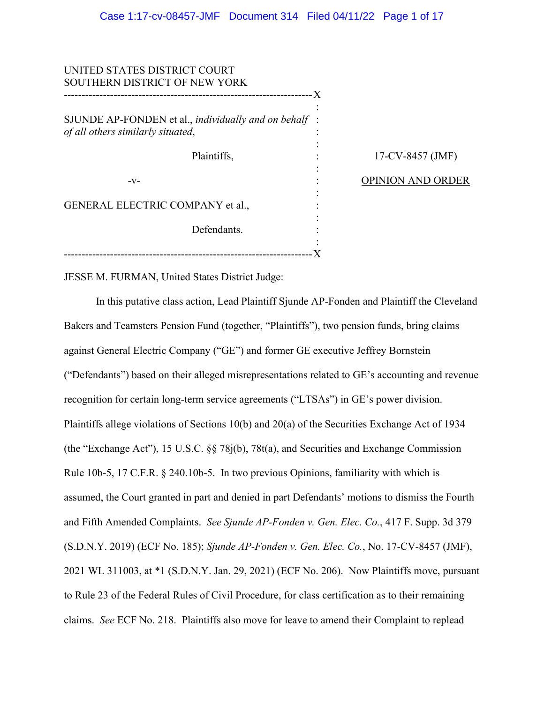| UNITED STATES DISTRICT COURT<br>SOUTHERN DISTRICT OF NEW YORK                             |                          |
|-------------------------------------------------------------------------------------------|--------------------------|
| SJUNDE AP-FONDEN et al., individually and on behalf:<br>of all others similarly situated, |                          |
| Plaintiffs,                                                                               | 17-CV-8457 (JMF)         |
| $-V-$                                                                                     | <b>OPINION AND ORDER</b> |
| <b>GENERAL ELECTRIC COMPANY et al.,</b>                                                   |                          |
| Defendants.                                                                               |                          |
|                                                                                           |                          |

JESSE M. FURMAN, United States District Judge:

In this putative class action, Lead Plaintiff Sjunde AP-Fonden and Plaintiff the Cleveland Bakers and Teamsters Pension Fund (together, "Plaintiffs"), two pension funds, bring claims against General Electric Company ("GE") and former GE executive Jeffrey Bornstein ("Defendants") based on their alleged misrepresentations related to GE's accounting and revenue recognition for certain long-term service agreements ("LTSAs") in GE's power division. Plaintiffs allege violations of Sections 10(b) and 20(a) of the Securities Exchange Act of 1934 (the "Exchange Act"), 15 U.S.C. §§ 78j(b), 78t(a), and Securities and Exchange Commission Rule 10b-5, 17 C.F.R. § 240.10b-5. In two previous Opinions, familiarity with which is assumed, the Court granted in part and denied in part Defendants' motions to dismiss the Fourth and Fifth Amended Complaints. *See Sjunde AP-Fonden v. Gen. Elec. Co.*, 417 F. Supp. 3d 379 (S.D.N.Y. 2019) (ECF No. 185); *Sjunde AP-Fonden v. Gen. Elec. Co.*, No. 17-CV-8457 (JMF), 2021 WL 311003, at \*1 (S.D.N.Y. Jan. 29, 2021) (ECF No. 206). Now Plaintiffs move, pursuant to Rule 23 of the Federal Rules of Civil Procedure, for class certification as to their remaining claims. *See* ECF No. 218. Plaintiffs also move for leave to amend their Complaint to replead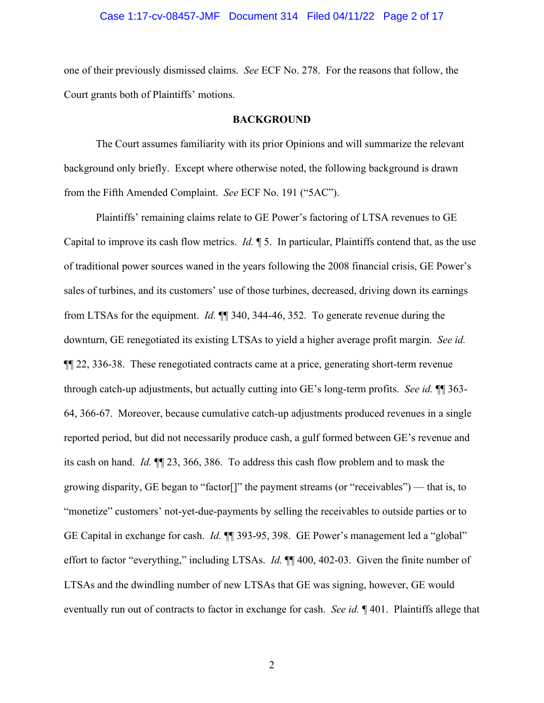# Case 1:17-cv-08457-JMF Document 314 Filed 04/11/22 Page 2 of 17

one of their previously dismissed claims. *See* ECF No. 278. For the reasons that follow, the Court grants both of Plaintiffs' motions.

#### **BACKGROUND**

The Court assumes familiarity with its prior Opinions and will summarize the relevant background only briefly. Except where otherwise noted, the following background is drawn from the Fifth Amended Complaint. *See* ECF No. 191 ("5AC").

Plaintiffs' remaining claims relate to GE Power's factoring of LTSA revenues to GE Capital to improve its cash flow metrics. *Id.* ¶ 5. In particular, Plaintiffs contend that, as the use of traditional power sources waned in the years following the 2008 financial crisis, GE Power's sales of turbines, and its customers' use of those turbines, decreased, driving down its earnings from LTSAs for the equipment. *Id.* ¶¶ 340, 344-46, 352. To generate revenue during the downturn, GE renegotiated its existing LTSAs to yield a higher average profit margin. *See id.* ¶¶ 22, 336-38. These renegotiated contracts came at a price, generating short-term revenue through catch-up adjustments, but actually cutting into GE's long-term profits. *See id.* ¶¶ 363- 64, 366-67. Moreover, because cumulative catch-up adjustments produced revenues in a single reported period, but did not necessarily produce cash, a gulf formed between GE's revenue and its cash on hand. *Id.* ¶¶ 23, 366, 386. To address this cash flow problem and to mask the growing disparity, GE began to "factor[]" the payment streams (or "receivables") — that is, to "monetize" customers' not-yet-due-payments by selling the receivables to outside parties or to GE Capital in exchange for cash. *Id.* ¶¶ 393-95, 398. GE Power's management led a "global" effort to factor "everything," including LTSAs. *Id.* ¶¶ 400, 402-03. Given the finite number of LTSAs and the dwindling number of new LTSAs that GE was signing, however, GE would eventually run out of contracts to factor in exchange for cash. *See id.* ¶ 401. Plaintiffs allege that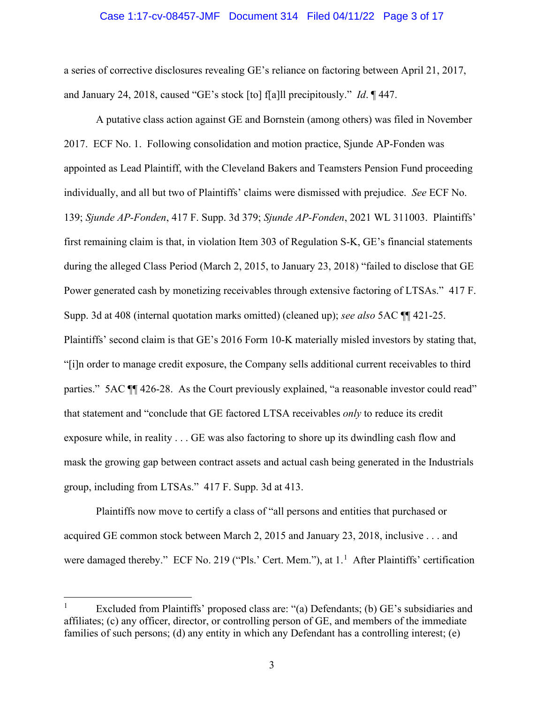#### Case 1:17-cv-08457-JMF Document 314 Filed 04/11/22 Page 3 of 17

a series of corrective disclosures revealing GE's reliance on factoring between April 21, 2017, and January 24, 2018, caused "GE's stock [to] f[a]ll precipitously." *Id*. ¶ 447.

A putative class action against GE and Bornstein (among others) was filed in November 2017. ECF No. 1. Following consolidation and motion practice, Sjunde AP-Fonden was appointed as Lead Plaintiff, with the Cleveland Bakers and Teamsters Pension Fund proceeding individually, and all but two of Plaintiffs' claims were dismissed with prejudice. *See* ECF No. 139; *Sjunde AP-Fonden*, 417 F. Supp. 3d 379; *Sjunde AP-Fonden*, 2021 WL 311003. Plaintiffs' first remaining claim is that, in violation Item 303 of Regulation S-K, GE's financial statements during the alleged Class Period (March 2, 2015, to January 23, 2018) "failed to disclose that GE Power generated cash by monetizing receivables through extensive factoring of LTSAs." 417 F. Supp. 3d at 408 (internal quotation marks omitted) (cleaned up); *see also* 5AC ¶¶ 421-25. Plaintiffs' second claim is that GE's 2016 Form 10-K materially misled investors by stating that, "[i]n order to manage credit exposure, the Company sells additional current receivables to third parties." 5AC  $\P$  426-28. As the Court previously explained, "a reasonable investor could read" that statement and "conclude that GE factored LTSA receivables *only* to reduce its credit exposure while, in reality . . . GE was also factoring to shore up its dwindling cash flow and mask the growing gap between contract assets and actual cash being generated in the Industrials group, including from LTSAs." 417 F. Supp. 3d at 413.

Plaintiffs now move to certify a class of "all persons and entities that purchased or acquired GE common stock between March 2, 2015 and January 23, 2018, inclusive . . . and were damaged thereby." ECF No. 219 ("Pls.' Cert. Mem."), at 1.<sup>1</sup> After Plaintiffs' certification

<sup>&</sup>lt;sup>1</sup> Excluded from Plaintiffs' proposed class are: "(a) Defendants; (b) GE's subsidiaries and affiliates; (c) any officer, director, or controlling person of GE, and members of the immediate families of such persons; (d) any entity in which any Defendant has a controlling interest; (e)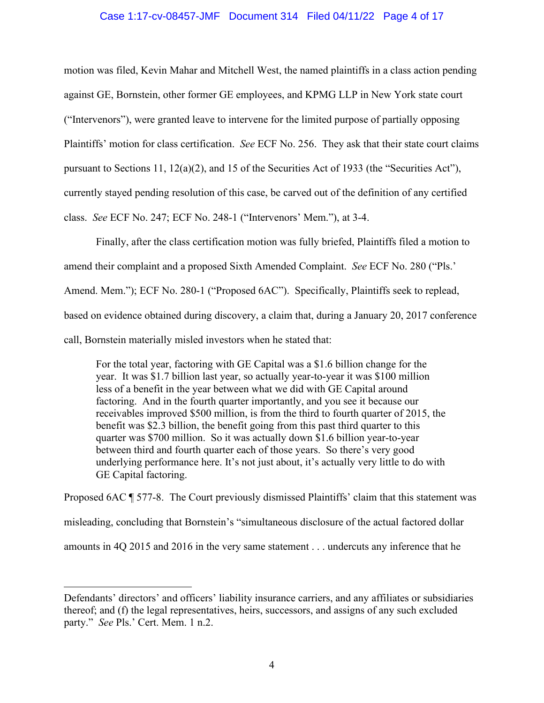# Case 1:17-cv-08457-JMF Document 314 Filed 04/11/22 Page 4 of 17

motion was filed, Kevin Mahar and Mitchell West, the named plaintiffs in a class action pending against GE, Bornstein, other former GE employees, and KPMG LLP in New York state court ("Intervenors"), were granted leave to intervene for the limited purpose of partially opposing Plaintiffs' motion for class certification. *See* ECF No. 256. They ask that their state court claims pursuant to Sections 11, 12(a)(2), and 15 of the Securities Act of 1933 (the "Securities Act"), currently stayed pending resolution of this case, be carved out of the definition of any certified class. *See* ECF No. 247; ECF No. 248-1 ("Intervenors' Mem."), at 3-4.

Finally, after the class certification motion was fully briefed, Plaintiffs filed a motion to amend their complaint and a proposed Sixth Amended Complaint. *See* ECF No. 280 ("Pls.' Amend. Mem."); ECF No. 280-1 ("Proposed 6AC"). Specifically, Plaintiffs seek to replead, based on evidence obtained during discovery, a claim that, during a January 20, 2017 conference call, Bornstein materially misled investors when he stated that:

For the total year, factoring with GE Capital was a \$1.6 billion change for the year. It was \$1.7 billion last year, so actually year-to-year it was \$100 million less of a benefit in the year between what we did with GE Capital around factoring. And in the fourth quarter importantly, and you see it because our receivables improved \$500 million, is from the third to fourth quarter of 2015, the benefit was \$2.3 billion, the benefit going from this past third quarter to this quarter was \$700 million. So it was actually down \$1.6 billion year-to-year between third and fourth quarter each of those years. So there's very good underlying performance here. It's not just about, it's actually very little to do with GE Capital factoring.

Proposed 6AC ¶ 577-8. The Court previously dismissed Plaintiffs' claim that this statement was misleading, concluding that Bornstein's "simultaneous disclosure of the actual factored dollar amounts in 4Q 2015 and 2016 in the very same statement . . . undercuts any inference that he

Defendants' directors' and officers' liability insurance carriers, and any affiliates or subsidiaries thereof; and (f) the legal representatives, heirs, successors, and assigns of any such excluded party." *See* Pls.' Cert. Mem. 1 n.2.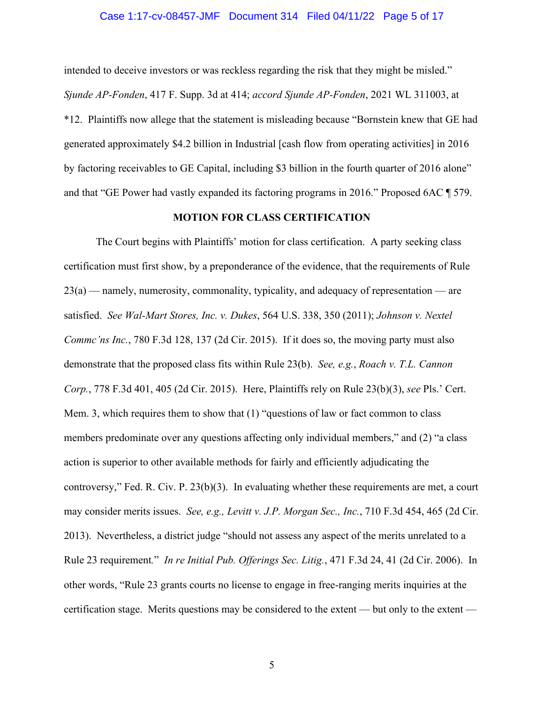# Case 1:17-cv-08457-JMF Document 314 Filed 04/11/22 Page 5 of 17

intended to deceive investors or was reckless regarding the risk that they might be misled." *Sjunde AP-Fonden*, 417 F. Supp. 3d at 414; *accord Sjunde AP-Fonden*, 2021 WL 311003, at \*12. Plaintiffs now allege that the statement is misleading because "Bornstein knew that GE had generated approximately \$4.2 billion in Industrial [cash flow from operating activities] in 2016 by factoring receivables to GE Capital, including \$3 billion in the fourth quarter of 2016 alone" and that "GE Power had vastly expanded its factoring programs in 2016." Proposed 6AC ¶ 579.

# **MOTION FOR CLASS CERTIFICATION**

The Court begins with Plaintiffs' motion for class certification. A party seeking class certification must first show, by a preponderance of the evidence, that the requirements of Rule  $23(a)$  — namely, numerosity, commonality, typicality, and adequacy of representation — are satisfied. *See Wal-Mart Stores, Inc. v. Dukes*, 564 U.S. 338, 350 (2011); *Johnson v. Nextel Commc'ns Inc.*, 780 F.3d 128, 137 (2d Cir. 2015). If it does so, the moving party must also demonstrate that the proposed class fits within Rule 23(b). *See, e.g.*, *Roach v. T.L. Cannon Corp.*, 778 F.3d 401, 405 (2d Cir. 2015). Here, Plaintiffs rely on Rule 23(b)(3), *see* Pls.' Cert. Mem. 3, which requires them to show that (1) "questions of law or fact common to class members predominate over any questions affecting only individual members," and (2) "a class action is superior to other available methods for fairly and efficiently adjudicating the controversy," Fed. R. Civ. P. 23(b)(3). In evaluating whether these requirements are met, a court may consider merits issues. *See, e.g., Levitt v. J.P. Morgan Sec., Inc.*, 710 F.3d 454, 465 (2d Cir. 2013). Nevertheless, a district judge "should not assess any aspect of the merits unrelated to a Rule 23 requirement*.*" *In re Initial Pub. Offerings Sec. Litig.*, 471 F.3d 24, 41 (2d Cir. 2006). In other words, "Rule 23 grants courts no license to engage in free-ranging merits inquiries at the certification stage. Merits questions may be considered to the extent — but only to the extent —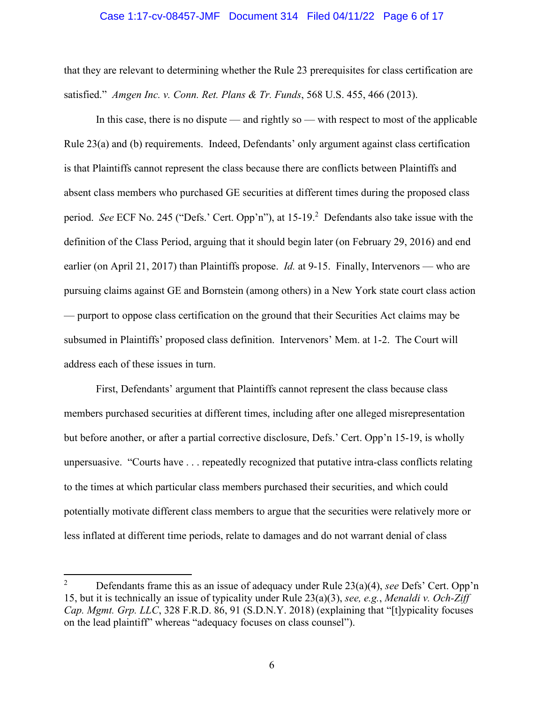#### Case 1:17-cv-08457-JMF Document 314 Filed 04/11/22 Page 6 of 17

that they are relevant to determining whether the Rule 23 prerequisites for class certification are satisfied." *Amgen Inc. v. Conn. Ret. Plans & Tr. Funds*, 568 U.S. 455, 466 (2013).

In this case, there is no dispute — and rightly so — with respect to most of the applicable Rule 23(a) and (b) requirements. Indeed, Defendants' only argument against class certification is that Plaintiffs cannot represent the class because there are conflicts between Plaintiffs and absent class members who purchased GE securities at different times during the proposed class period. See ECF No. 245 ("Defs.' Cert. Opp'n"), at 15-19.<sup>2</sup> Defendants also take issue with the definition of the Class Period, arguing that it should begin later (on February 29, 2016) and end earlier (on April 21, 2017) than Plaintiffs propose. *Id.* at 9-15. Finally, Intervenors — who are pursuing claims against GE and Bornstein (among others) in a New York state court class action — purport to oppose class certification on the ground that their Securities Act claims may be subsumed in Plaintiffs' proposed class definition. Intervenors' Mem. at 1-2. The Court will address each of these issues in turn.

First, Defendants' argument that Plaintiffs cannot represent the class because class members purchased securities at different times, including after one alleged misrepresentation but before another, or after a partial corrective disclosure, Defs.' Cert. Opp'n 15-19, is wholly unpersuasive. "Courts have . . . repeatedly recognized that putative intra-class conflicts relating to the times at which particular class members purchased their securities, and which could potentially motivate different class members to argue that the securities were relatively more or less inflated at different time periods, relate to damages and do not warrant denial of class

<sup>2</sup> Defendants frame this as an issue of adequacy under Rule 23(a)(4), *see* Defs' Cert. Opp'n 15, but it is technically an issue of typicality under Rule 23(a)(3), *see, e.g.*, *Menaldi v. Och-Ziff Cap. Mgmt. Grp. LLC*, 328 F.R.D. 86, 91 (S.D.N.Y. 2018) (explaining that "[t]ypicality focuses on the lead plaintiff" whereas "adequacy focuses on class counsel").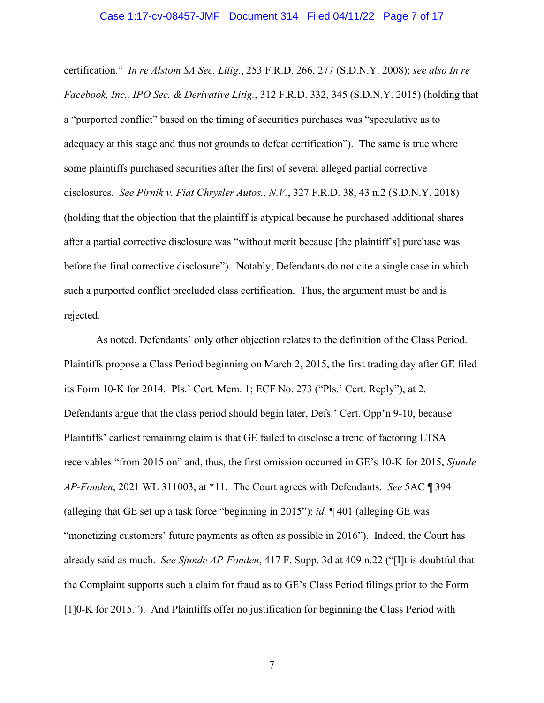certification." *In re Alstom SA Sec. Litig.*, 253 F.R.D. 266, 277 (S.D.N.Y. 2008); *see also In re Facebook, Inc., IPO Sec. & Derivative Litig.*, 312 F.R.D. 332, 345 (S.D.N.Y. 2015) (holding that a "purported conflict" based on the timing of securities purchases was "speculative as to adequacy at this stage and thus not grounds to defeat certification"). The same is true where some plaintiffs purchased securities after the first of several alleged partial corrective disclosures. *See Pirnik v. Fiat Chrysler Autos., N.V.*, 327 F.R.D. 38, 43 n.2 (S.D.N.Y. 2018) (holding that the objection that the plaintiff is atypical because he purchased additional shares after a partial corrective disclosure was "without merit because [the plaintiff's] purchase was before the final corrective disclosure"). Notably, Defendants do not cite a single case in which such a purported conflict precluded class certification. Thus, the argument must be and is rejected.

As noted, Defendants' only other objection relates to the definition of the Class Period. Plaintiffs propose a Class Period beginning on March 2, 2015, the first trading day after GE filed its Form 10-K for 2014. Pls.' Cert. Mem. 1; ECF No. 273 ("Pls.' Cert. Reply"), at 2. Defendants argue that the class period should begin later, Defs.' Cert. Opp'n 9-10, because Plaintiffs' earliest remaining claim is that GE failed to disclose a trend of factoring LTSA receivables "from 2015 on" and, thus, the first omission occurred in GE's 10-K for 2015, *Sjunde AP-Fonden*, 2021 WL 311003, at \*11. The Court agrees with Defendants. *See* 5AC ¶ 394 (alleging that GE set up a task force "beginning in 2015"); *id.* ¶ 401 (alleging GE was "monetizing customers' future payments as often as possible in 2016"). Indeed, the Court has already said as much. *See Sjunde AP-Fonden*, 417 F. Supp. 3d at 409 n.22 ("[I]t is doubtful that the Complaint supports such a claim for fraud as to GE's Class Period filings prior to the Form [1]0-K for 2015."). And Plaintiffs offer no justification for beginning the Class Period with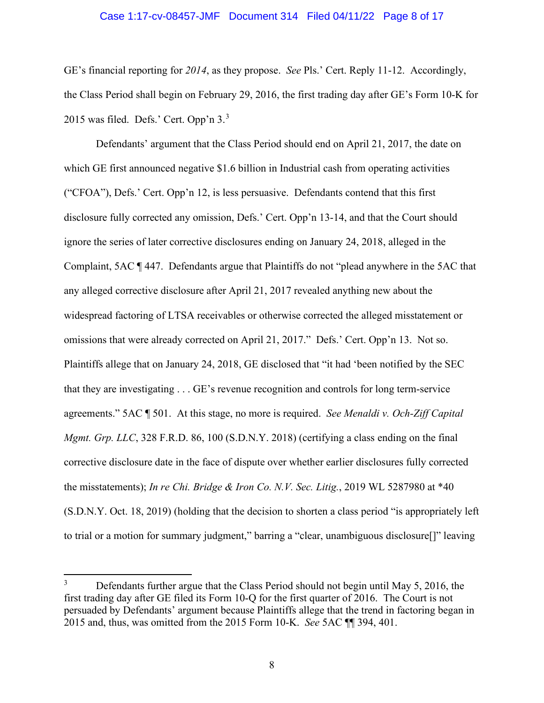# Case 1:17-cv-08457-JMF Document 314 Filed 04/11/22 Page 8 of 17

GE's financial reporting for *2014*, as they propose. *See* Pls.' Cert. Reply 11-12. Accordingly, the Class Period shall begin on February 29, 2016, the first trading day after GE's Form 10-K for 2015 was filed. Defs.' Cert. Opp'n 3.<sup>3</sup>

Defendants' argument that the Class Period should end on April 21, 2017, the date on which GE first announced negative \$1.6 billion in Industrial cash from operating activities ("CFOA"), Defs.' Cert. Opp'n 12, is less persuasive. Defendants contend that this first disclosure fully corrected any omission, Defs.' Cert. Opp'n 13-14, and that the Court should ignore the series of later corrective disclosures ending on January 24, 2018, alleged in the Complaint, 5AC ¶ 447. Defendants argue that Plaintiffs do not "plead anywhere in the 5AC that any alleged corrective disclosure after April 21, 2017 revealed anything new about the widespread factoring of LTSA receivables or otherwise corrected the alleged misstatement or omissions that were already corrected on April 21, 2017." Defs.' Cert. Opp'n 13. Not so. Plaintiffs allege that on January 24, 2018, GE disclosed that "it had 'been notified by the SEC that they are investigating . . . GE's revenue recognition and controls for long term-service agreements." 5AC ¶ 501. At this stage, no more is required. *See Menaldi v. Och-Ziff Capital Mgmt. Grp. LLC*, 328 F.R.D. 86, 100 (S.D.N.Y. 2018) (certifying a class ending on the final corrective disclosure date in the face of dispute over whether earlier disclosures fully corrected the misstatements); *In re Chi. Bridge & Iron Co. N.V. Sec. Litig.*, 2019 WL 5287980 at \*40 (S.D.N.Y. Oct. 18, 2019) (holding that the decision to shorten a class period "is appropriately left to trial or a motion for summary judgment," barring a "clear, unambiguous disclosure[]" leaving

<sup>&</sup>lt;sup>3</sup> Defendants further argue that the Class Period should not begin until May 5, 2016, the first trading day after GE filed its Form 10-Q for the first quarter of 2016. The Court is not persuaded by Defendants' argument because Plaintiffs allege that the trend in factoring began in 2015 and, thus, was omitted from the 2015 Form 10-K. *See* 5AC ¶¶ 394, 401.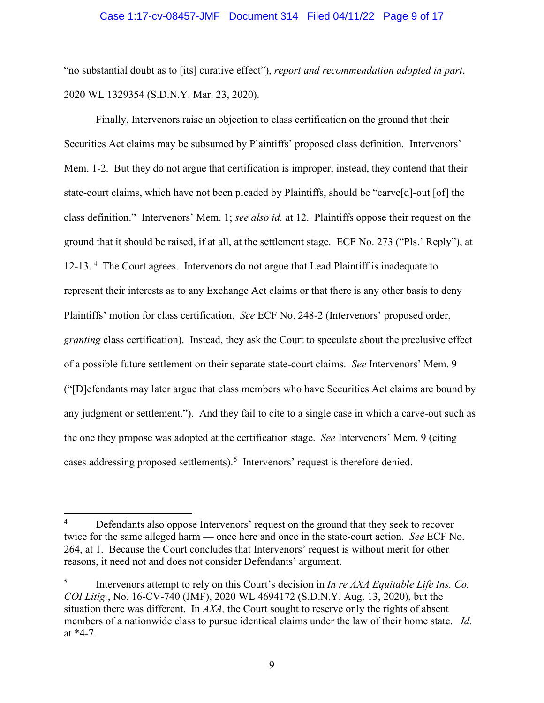## Case 1:17-cv-08457-JMF Document 314 Filed 04/11/22 Page 9 of 17

"no substantial doubt as to [its] curative effect"), *report and recommendation adopted in part*, 2020 WL 1329354 (S.D.N.Y. Mar. 23, 2020).

Finally, Intervenors raise an objection to class certification on the ground that their Securities Act claims may be subsumed by Plaintiffs' proposed class definition. Intervenors' Mem. 1-2. But they do not argue that certification is improper; instead, they contend that their state-court claims, which have not been pleaded by Plaintiffs, should be "carve[d]-out [of] the class definition." Intervenors' Mem. 1; *see also id.* at 12. Plaintiffs oppose their request on the ground that it should be raised, if at all, at the settlement stage. ECF No. 273 ("Pls.' Reply"), at 12-13.<sup>4</sup> The Court agrees. Intervenors do not argue that Lead Plaintiff is inadequate to represent their interests as to any Exchange Act claims or that there is any other basis to deny Plaintiffs' motion for class certification. *See* ECF No. 248-2 (Intervenors' proposed order, *granting* class certification). Instead, they ask the Court to speculate about the preclusive effect of a possible future settlement on their separate state-court claims. *See* Intervenors' Mem. 9 ("[D]efendants may later argue that class members who have Securities Act claims are bound by any judgment or settlement."). And they fail to cite to a single case in which a carve-out such as the one they propose was adopted at the certification stage. *See* Intervenors' Mem. 9 (citing cases addressing proposed settlements).<sup>5</sup> Intervenors' request is therefore denied.

<sup>&</sup>lt;sup>4</sup> Defendants also oppose Intervenors' request on the ground that they seek to recover twice for the same alleged harm — once here and once in the state-court action. *See* ECF No. 264, at 1. Because the Court concludes that Intervenors' request is without merit for other reasons, it need not and does not consider Defendants' argument.

<sup>5</sup> Intervenors attempt to rely on this Court's decision in *In re AXA Equitable Life Ins. Co. COI Litig.*, No. 16-CV-740 (JMF), 2020 WL 4694172 (S.D.N.Y. Aug. 13, 2020), but the situation there was different. In *AXA,* the Court sought to reserve only the rights of absent members of a nationwide class to pursue identical claims under the law of their home state. *Id.* at \*4-7.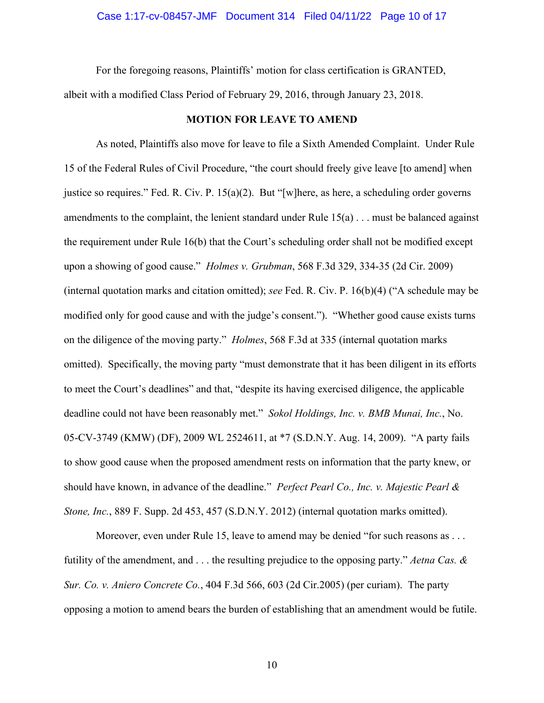For the foregoing reasons, Plaintiffs' motion for class certification is GRANTED, albeit with a modified Class Period of February 29, 2016, through January 23, 2018.

#### **MOTION FOR LEAVE TO AMEND**

As noted, Plaintiffs also move for leave to file a Sixth Amended Complaint. Under Rule 15 of the Federal Rules of Civil Procedure, "the court should freely give leave [to amend] when justice so requires." Fed. R. Civ. P.  $15(a)(2)$ . But "[w]here, as here, a scheduling order governs amendments to the complaint, the lenient standard under Rule 15(a) . . . must be balanced against the requirement under Rule 16(b) that the Court's scheduling order shall not be modified except upon a showing of good cause." *Holmes v. Grubman*, 568 F.3d 329, 334-35 (2d Cir. 2009) (internal quotation marks and citation omitted); *see* Fed. R. Civ. P. 16(b)(4) ("A schedule may be modified only for good cause and with the judge's consent."). "Whether good cause exists turns on the diligence of the moving party." *Holmes*, 568 F.3d at 335 (internal quotation marks omitted). Specifically, the moving party "must demonstrate that it has been diligent in its efforts to meet the Court's deadlines" and that, "despite its having exercised diligence, the applicable deadline could not have been reasonably met." *Sokol Holdings, Inc. v. BMB Munai, Inc.*, No. 05-CV-3749 (KMW) (DF), 2009 WL 2524611, at \*7 (S.D.N.Y. Aug. 14, 2009). "A party fails to show good cause when the proposed amendment rests on information that the party knew, or should have known, in advance of the deadline." *Perfect Pearl Co., Inc. v. Majestic Pearl & Stone, Inc.*, 889 F. Supp. 2d 453, 457 (S.D.N.Y. 2012) (internal quotation marks omitted).

Moreover, even under Rule 15, leave to amend may be denied "for such reasons as . . . futility of the amendment, and . . . the resulting prejudice to the opposing party." *Aetna Cas. & Sur. Co. v. Aniero Concrete Co.*, 404 F.3d 566, 603 (2d Cir.2005) (per curiam). The party opposing a motion to amend bears the burden of establishing that an amendment would be futile.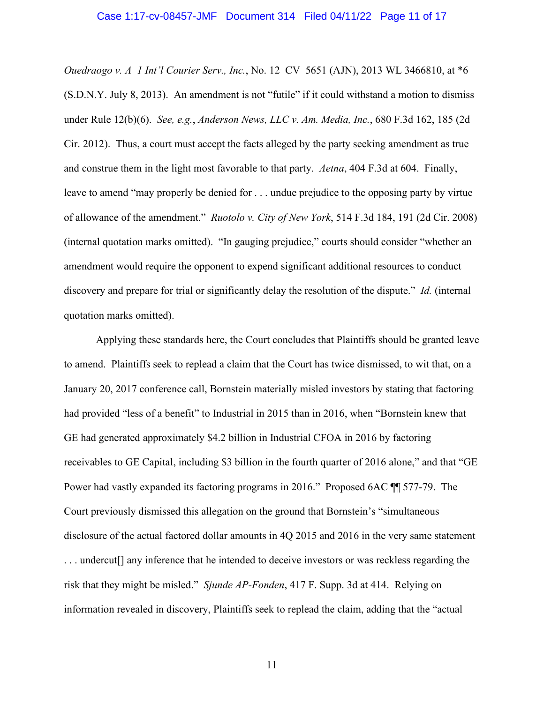*Ouedraogo v. A–1 Int'l Courier Serv., Inc.*, No. 12–CV–5651 (AJN), 2013 WL 3466810, at \*6 (S.D.N.Y. July 8, 2013). An amendment is not "futile" if it could withstand a motion to dismiss under Rule 12(b)(6). *See, e.g.*, *Anderson News, LLC v. Am. Media, Inc.*, 680 F.3d 162, 185 (2d Cir. 2012). Thus, a court must accept the facts alleged by the party seeking amendment as true and construe them in the light most favorable to that party. *Aetna*, 404 F.3d at 604. Finally, leave to amend "may properly be denied for . . . undue prejudice to the opposing party by virtue of allowance of the amendment." *Ruotolo v. City of New York*, 514 F.3d 184, 191 (2d Cir. 2008) (internal quotation marks omitted). "In gauging prejudice," courts should consider "whether an amendment would require the opponent to expend significant additional resources to conduct discovery and prepare for trial or significantly delay the resolution of the dispute." *Id.* (internal quotation marks omitted).

Applying these standards here, the Court concludes that Plaintiffs should be granted leave to amend. Plaintiffs seek to replead a claim that the Court has twice dismissed, to wit that, on a January 20, 2017 conference call, Bornstein materially misled investors by stating that factoring had provided "less of a benefit" to Industrial in 2015 than in 2016, when "Bornstein knew that GE had generated approximately \$4.2 billion in Industrial CFOA in 2016 by factoring receivables to GE Capital, including \$3 billion in the fourth quarter of 2016 alone," and that "GE Power had vastly expanded its factoring programs in 2016." Proposed 6AC ¶¶ 577-79. The Court previously dismissed this allegation on the ground that Bornstein's "simultaneous disclosure of the actual factored dollar amounts in 4Q 2015 and 2016 in the very same statement . . . undercut[] any inference that he intended to deceive investors or was reckless regarding the risk that they might be misled." *Sjunde AP-Fonden*, 417 F. Supp. 3d at 414. Relying on information revealed in discovery, Plaintiffs seek to replead the claim, adding that the "actual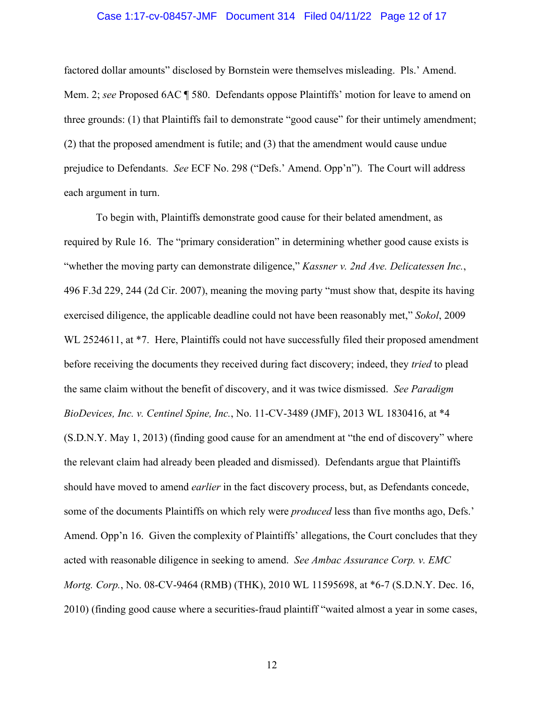## Case 1:17-cv-08457-JMF Document 314 Filed 04/11/22 Page 12 of 17

factored dollar amounts" disclosed by Bornstein were themselves misleading. Pls.' Amend. Mem. 2; *see* Proposed 6AC ¶ 580. Defendants oppose Plaintiffs' motion for leave to amend on three grounds: (1) that Plaintiffs fail to demonstrate "good cause" for their untimely amendment; (2) that the proposed amendment is futile; and (3) that the amendment would cause undue prejudice to Defendants. *See* ECF No. 298 ("Defs.' Amend. Opp'n"). The Court will address each argument in turn.

To begin with, Plaintiffs demonstrate good cause for their belated amendment, as required by Rule 16. The "primary consideration" in determining whether good cause exists is "whether the moving party can demonstrate diligence," *Kassner v. 2nd Ave. Delicatessen Inc.*, 496 F.3d 229, 244 (2d Cir. 2007), meaning the moving party "must show that, despite its having exercised diligence, the applicable deadline could not have been reasonably met," *Sokol*, 2009 WL 2524611, at  $*7$ . Here, Plaintiffs could not have successfully filed their proposed amendment before receiving the documents they received during fact discovery; indeed, they *tried* to plead the same claim without the benefit of discovery, and it was twice dismissed. *See Paradigm BioDevices, Inc. v. Centinel Spine, Inc.*, No. 11-CV-3489 (JMF), 2013 WL 1830416, at \*4 (S.D.N.Y. May 1, 2013) (finding good cause for an amendment at "the end of discovery" where the relevant claim had already been pleaded and dismissed). Defendants argue that Plaintiffs should have moved to amend *earlier* in the fact discovery process, but, as Defendants concede, some of the documents Plaintiffs on which rely were *produced* less than five months ago, Defs.' Amend. Opp'n 16. Given the complexity of Plaintiffs' allegations, the Court concludes that they acted with reasonable diligence in seeking to amend. *See Ambac Assurance Corp. v. EMC Mortg. Corp.*, No. 08-CV-9464 (RMB) (THK), 2010 WL 11595698, at \*6-7 (S.D.N.Y. Dec. 16, 2010) (finding good cause where a securities-fraud plaintiff "waited almost a year in some cases,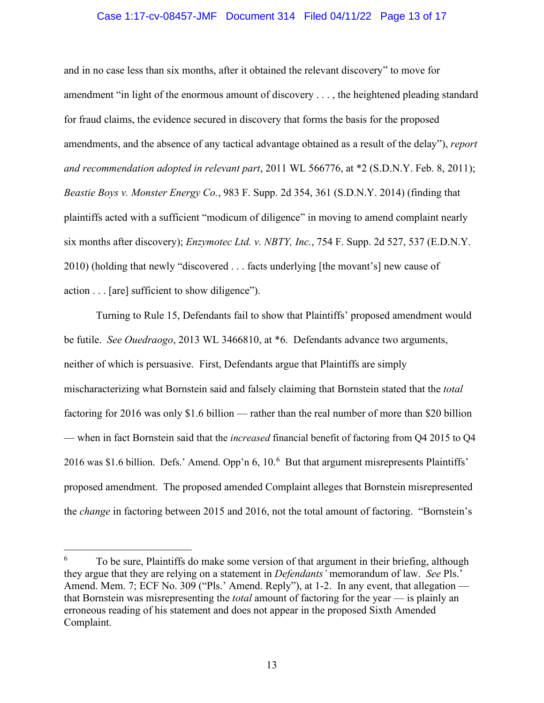# Case 1:17-cv-08457-JMF Document 314 Filed 04/11/22 Page 13 of 17

and in no case less than six months, after it obtained the relevant discovery" to move for amendment "in light of the enormous amount of discovery . . . , the heightened pleading standard for fraud claims, the evidence secured in discovery that forms the basis for the proposed amendments, and the absence of any tactical advantage obtained as a result of the delay"), *report and recommendation adopted in relevant part*, 2011 WL 566776, at \*2 (S.D.N.Y. Feb. 8, 2011); *Beastie Boys v. Monster Energy Co.*, 983 F. Supp. 2d 354, 361 (S.D.N.Y. 2014) (finding that plaintiffs acted with a sufficient "modicum of diligence" in moving to amend complaint nearly six months after discovery); *Enzymotec Ltd. v. NBTY, Inc.*, 754 F. Supp. 2d 527, 537 (E.D.N.Y. 2010) (holding that newly "discovered . . . facts underlying [the movant's] new cause of action . . . [are] sufficient to show diligence").

Turning to Rule 15, Defendants fail to show that Plaintiffs' proposed amendment would be futile. *See Ouedraogo*, 2013 WL 3466810, at \*6. Defendants advance two arguments, neither of which is persuasive. First, Defendants argue that Plaintiffs are simply mischaracterizing what Bornstein said and falsely claiming that Bornstein stated that the *total* factoring for 2016 was only \$1.6 billion — rather than the real number of more than \$20 billion — when in fact Bornstein said that the *increased* financial benefit of factoring from Q4 2015 to Q4 2016 was \$1.6 billion. Defs.' Amend. Opp'n 6, 10.<sup>6</sup> But that argument misrepresents Plaintiffs' proposed amendment. The proposed amended Complaint alleges that Bornstein misrepresented the *change* in factoring between 2015 and 2016, not the total amount of factoring. "Bornstein's

<sup>6</sup> To be sure, Plaintiffs do make some version of that argument in their briefing, although they argue that they are relying on a statement in *Defendants'* memorandum of law. *See* Pls.' Amend. Mem. 7; ECF No. 309 ("Pls.' Amend. Reply"), at 1-2. In any event, that allegation that Bornstein was misrepresenting the *total* amount of factoring for the year — is plainly an erroneous reading of his statement and does not appear in the proposed Sixth Amended Complaint.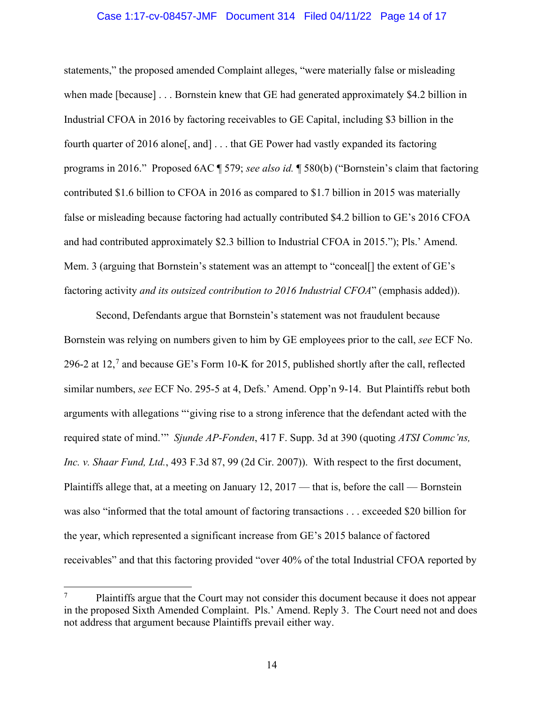## Case 1:17-cv-08457-JMF Document 314 Filed 04/11/22 Page 14 of 17

statements," the proposed amended Complaint alleges, "were materially false or misleading when made [because] . . . Bornstein knew that GE had generated approximately \$4.2 billion in Industrial CFOA in 2016 by factoring receivables to GE Capital, including \$3 billion in the fourth quarter of 2016 alone<sup>[</sup>, and] . . . that GE Power had vastly expanded its factoring programs in 2016." Proposed 6AC ¶ 579; *see also id.* ¶ 580(b) ("Bornstein's claim that factoring contributed \$1.6 billion to CFOA in 2016 as compared to \$1.7 billion in 2015 was materially false or misleading because factoring had actually contributed \$4.2 billion to GE's 2016 CFOA and had contributed approximately \$2.3 billion to Industrial CFOA in 2015."); Pls.' Amend. Mem. 3 (arguing that Bornstein's statement was an attempt to "conceal<sup>[]</sup> the extent of GE's factoring activity *and its outsized contribution to 2016 Industrial CFOA*" (emphasis added)).

Second, Defendants argue that Bornstein's statement was not fraudulent because Bornstein was relying on numbers given to him by GE employees prior to the call, *see* ECF No. 296-2 at 12,<sup>7</sup> and because GE's Form 10-K for 2015, published shortly after the call, reflected similar numbers, *see* ECF No. 295-5 at 4, Defs.' Amend. Opp'n 9-14. But Plaintiffs rebut both arguments with allegations "'giving rise to a strong inference that the defendant acted with the required state of mind.'" *Sjunde AP-Fonden*, 417 F. Supp. 3d at 390 (quoting *ATSI Commc'ns, Inc. v. Shaar Fund, Ltd.*, 493 F.3d 87, 99 (2d Cir. 2007)). With respect to the first document, Plaintiffs allege that, at a meeting on January 12, 2017 — that is, before the call — Bornstein was also "informed that the total amount of factoring transactions . . . exceeded \$20 billion for the year, which represented a significant increase from GE's 2015 balance of factored receivables" and that this factoring provided "over 40% of the total Industrial CFOA reported by

<sup>7</sup> Plaintiffs argue that the Court may not consider this document because it does not appear in the proposed Sixth Amended Complaint. Pls.' Amend. Reply 3. The Court need not and does not address that argument because Plaintiffs prevail either way.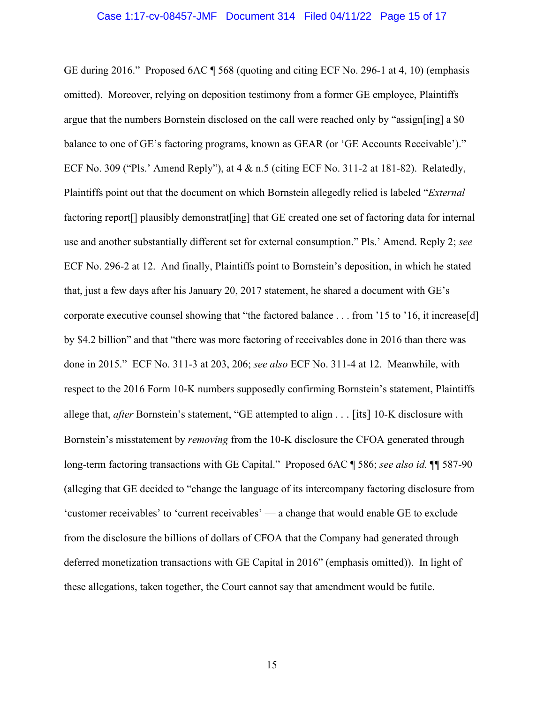GE during 2016." Proposed 6AC ¶ 568 (quoting and citing ECF No. 296-1 at 4, 10) (emphasis omitted). Moreover, relying on deposition testimony from a former GE employee, Plaintiffs argue that the numbers Bornstein disclosed on the call were reached only by "assign[ing] a  $\$0$ balance to one of GE's factoring programs, known as GEAR (or 'GE Accounts Receivable')." ECF No. 309 ("Pls.' Amend Reply"), at 4 & n.5 (citing ECF No. 311-2 at 181-82). Relatedly, Plaintiffs point out that the document on which Bornstein allegedly relied is labeled "*External* factoring report<sup>[]</sup> plausibly demonstrat<sup>[ing]</sup> that GE created one set of factoring data for internal use and another substantially different set for external consumption." Pls.' Amend. Reply 2; *see*  ECF No. 296-2 at 12. And finally, Plaintiffs point to Bornstein's deposition, in which he stated that, just a few days after his January 20, 2017 statement, he shared a document with GE's corporate executive counsel showing that "the factored balance . . . from '15 to '16, it increase[d] by \$4.2 billion" and that "there was more factoring of receivables done in 2016 than there was done in 2015." ECF No. 311-3 at 203, 206; *see also* ECF No. 311-4 at 12. Meanwhile, with respect to the 2016 Form 10-K numbers supposedly confirming Bornstein's statement, Plaintiffs allege that, *after* Bornstein's statement, "GE attempted to align . . . [its] 10-K disclosure with Bornstein's misstatement by *removing* from the 10-K disclosure the CFOA generated through long-term factoring transactions with GE Capital." Proposed 6AC ¶ 586; *see also id*. ¶ 587-90 (alleging that GE decided to "change the language of its intercompany factoring disclosure from 'customer receivables' to 'current receivables' — a change that would enable GE to exclude from the disclosure the billions of dollars of CFOA that the Company had generated through deferred monetization transactions with GE Capital in 2016" (emphasis omitted)). In light of these allegations, taken together, the Court cannot say that amendment would be futile.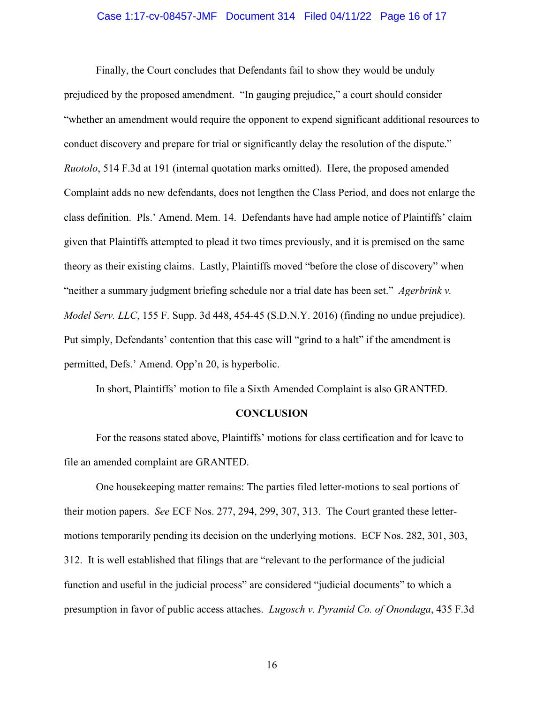### Case 1:17-cv-08457-JMF Document 314 Filed 04/11/22 Page 16 of 17

Finally, the Court concludes that Defendants fail to show they would be unduly prejudiced by the proposed amendment. "In gauging prejudice," a court should consider "whether an amendment would require the opponent to expend significant additional resources to conduct discovery and prepare for trial or significantly delay the resolution of the dispute." *Ruotolo*, 514 F.3d at 191 (internal quotation marks omitted). Here, the proposed amended Complaint adds no new defendants, does not lengthen the Class Period, and does not enlarge the class definition. Pls.' Amend. Mem. 14. Defendants have had ample notice of Plaintiffs' claim given that Plaintiffs attempted to plead it two times previously, and it is premised on the same theory as their existing claims. Lastly, Plaintiffs moved "before the close of discovery" when "neither a summary judgment briefing schedule nor a trial date has been set." *Agerbrink v. Model Serv. LLC*, 155 F. Supp. 3d 448, 454-45 (S.D.N.Y. 2016) (finding no undue prejudice). Put simply, Defendants' contention that this case will "grind to a halt" if the amendment is permitted, Defs.' Amend. Opp'n 20, is hyperbolic.

In short, Plaintiffs' motion to file a Sixth Amended Complaint is also GRANTED.

## **CONCLUSION**

For the reasons stated above, Plaintiffs' motions for class certification and for leave to file an amended complaint are GRANTED.

One housekeeping matter remains: The parties filed letter-motions to seal portions of their motion papers. *See* ECF Nos. 277, 294, 299, 307, 313. The Court granted these lettermotions temporarily pending its decision on the underlying motions. ECF Nos. 282, 301, 303, 312. It is well established that filings that are "relevant to the performance of the judicial function and useful in the judicial process" are considered "judicial documents" to which a presumption in favor of public access attaches. *Lugosch v. Pyramid Co. of Onondaga*, 435 F.3d